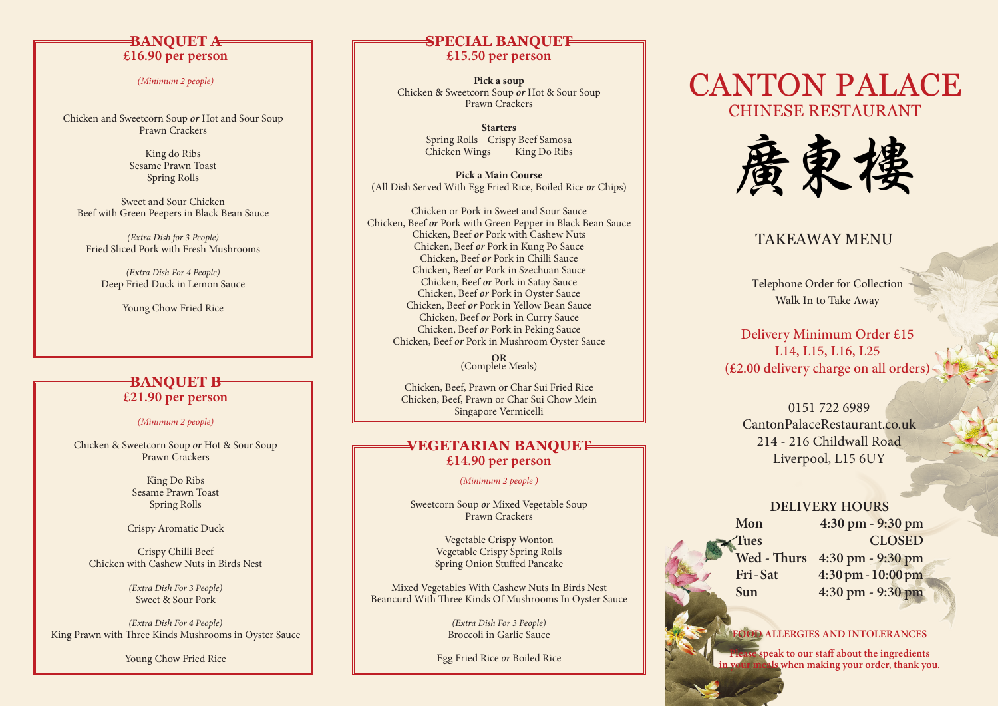### **BANQUET A £16.90 per person**

*(Minimum 2 people)*

Chicken and Sweetcorn Soup *or* Hot and Sour Soup Prawn Crackers

> King do Ribs Sesame Prawn Toast Spring Rolls

Sweet and Sour Chicken Beef with Green Peepers in Black Bean Sauce

*(Extra Dish for 3 People)* Fried Sliced Pork with Fresh Mushrooms

*(Extra Dish For 4 People)* Deep Fried Duck in Lemon Sauce

Young Chow Fried Rice

### **BANQUET B £21.90 per person**

#### *(Minimum 2 people)*

Chicken & Sweetcorn Soup *or* Hot & Sour Soup Prawn Crackers

> King Do Ribs Sesame Prawn Toast Spring Rolls

Crispy Aromatic Duck

Crispy Chilli Beef Chicken with Cashew Nuts in Birds Nest

> *(Extra Dish For 3 People)* Sweet & Sour Pork

*(Extra Dish For 4 People)* King Prawn with Three Kinds Mushrooms in Oyster Sauce

Young Chow Fried Rice

### **SPECIAL BANQUET £15.50 per person**

**Pick a soup** Chicken & Sweetcorn Soup *or* Hot & Sour Soup Prawn Crackers

> **Starters** Spring Rolls Crispy Beef Samosa<br>Chicken Wings King Do Ribs Chicken Wings

**Pick a Main Course** (All Dish Served With Egg Fried Rice, Boiled Rice *or* Chips)

Chicken or Pork in Sweet and Sour Sauce Chicken, Beef *or* Pork with Green Pepper in Black Bean Sauce Chicken, Beef *or* Pork with Cashew Nuts Chicken, Beef *or* Pork in Kung Po Sauce Chicken, Beef *or* Pork in Chilli Sauce Chicken, Beef *or* Pork in Szechuan Sauce Chicken, Beef *or* Pork in Satay Sauce Chicken, Beef *or* Pork in Oyster Sauce Chicken, Beef *or* Pork in Yellow Bean Sauce Chicken, Beef *or* Pork in Curry Sauce Chicken, Beef *or* Pork in Peking Sauce Chicken, Beef *or* Pork in Mushroom Oyster Sauce

**OR** (Complete Meals)

Chicken, Beef, Prawn or Char Sui Fried Rice Chicken, Beef, Prawn or Char Sui Chow Mein Singapore Vermicelli

### **VEGETARIAN BANQUET £14.90 per person**

*(Minimum 2 people )*

Sweetcorn Soup *or* Mixed Vegetable Soup Prawn Crackers

> Vegetable Crispy Wonton Vegetable Crispy Spring Rolls Spring Onion Stuffed Pancake

Mixed Vegetables With Cashew Nuts In Birds Nest Beancurd With Three Kinds Of Mushrooms In Oyster Sauce

> *(Extra Dish For 3 People)* Broccoli in Garlic Sauce

Egg Fried Rice *or* Boiled Rice

# CANTON PALACE CHINESE RESTAURANT



## TAKEAWAY MENU

Telephone Order for Collection Walk In to Take Away

Delivery Minimum Order £15 L14, L15, L16, L25 (£2.00 delivery charge on all orders)

0151 722 6989 CantonPalaceRestaurant.co.uk 214 - 216 Childwall Road Liverpool, L15 6UY

### **DELIVERY HOURS**

**Mon 4:30 pm - 9:30 pm Tues CLOSED Wed - Thurs 4:30 pm - 9:30 pm Fri - Sat 4:30 pm - 10:00 pm Sun 4:30 pm - 9:30 pm**

#### **FOOD ALLERGIES AND INTOLERANCES**

speak to our staff about the ingredients **in your meals when making your order, thank you.**